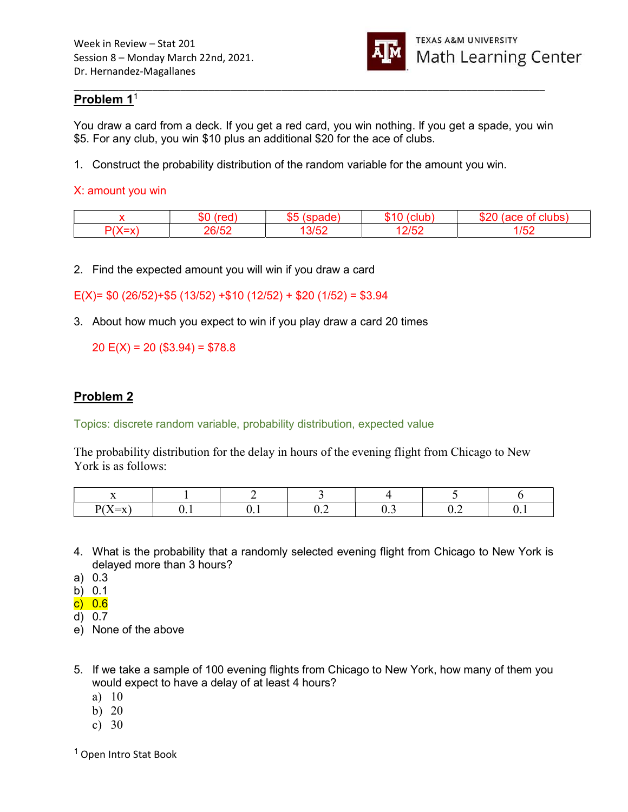

### Problem 1<sup>1</sup>

You draw a card from a deck. If you get a red card, you win nothing. lf you get a spade, you win \$5. For any club, you win \$10 plus an additional \$20 for the ace of clubs.

\_\_\_\_\_\_\_\_\_\_\_\_\_\_\_\_\_\_\_\_\_\_\_\_\_\_\_\_\_\_\_\_\_\_\_\_\_\_\_\_\_\_\_\_\_\_\_\_\_\_\_\_\_\_\_\_\_\_\_\_\_\_\_\_\_\_\_\_\_\_\_\_\_\_\_\_\_\_\_\_\_\_\_\_

1. Construct the probability distribution of the random variable for the amount you win.

#### X: amount you win

|          | ጦ<br>æл  | ∼−<br>. |          |       |  |
|----------|----------|---------|----------|-------|--|
| $\cdots$ | ne<br>-- |         | $\Omega$ | , , , |  |

2. Find the expected amount you will win if you draw a card

E(X)=  $$0 (26/52)+$5 (13/52) +$10 (12/52) + $20 (1/52) = $3.94$ 

3. About how much you expect to win if you play draw a card 20 times

20  $E(X) = 20 (1,304) = 1,578.8$ 

### Problem 2

Topics: discrete random variable, probability distribution, expected value

The probability distribution for the delay in hours of the evening flight from Chicago to New York is as follows:

- 4. What is the probability that a randomly selected evening flight from Chicago to New York is delayed more than 3 hours?
- a) 0.3
- b) 0.1
- c) 0.6
- d) 0.7
- e) None of the above
- 5. If we take a sample of 100 evening flights from Chicago to New York, how many of them you would expect to have a delay of at least 4 hours?
	- a) 10
	- b) 20
	- c) 30

<sup>1</sup> Open Intro Stat Book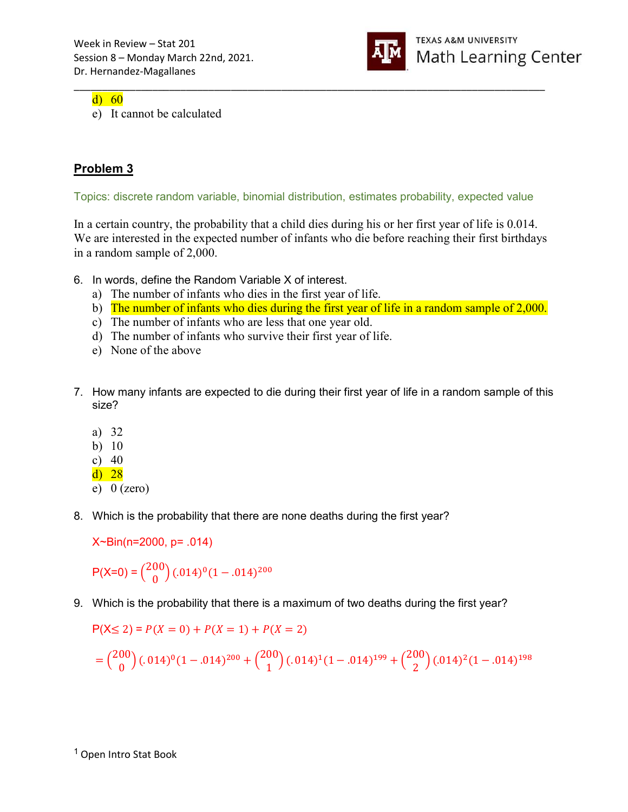

d) 60

e) It cannot be calculated

# Problem 3

Topics: discrete random variable, binomial distribution, estimates probability, expected value

\_\_\_\_\_\_\_\_\_\_\_\_\_\_\_\_\_\_\_\_\_\_\_\_\_\_\_\_\_\_\_\_\_\_\_\_\_\_\_\_\_\_\_\_\_\_\_\_\_\_\_\_\_\_\_\_\_\_\_\_\_\_\_\_\_\_\_\_\_\_\_\_\_\_\_\_\_\_\_\_\_\_\_\_

In a certain country, the probability that a child dies during his or her first year of life is 0.014. We are interested in the expected number of infants who die before reaching their first birthdays in a random sample of 2,000.

- 6. In words, define the Random Variable X of interest.
	- a) The number of infants who dies in the first year of life.
	- b) The number of infants who dies during the first year of life in a random sample of 2,000.
	- c) The number of infants who are less that one year old.
	- d) The number of infants who survive their first year of life.
	- e) None of the above
- 7. How many infants are expected to die during their first year of life in a random sample of this size?
	- a) 32
	- b) 10
	- c) 40
	- d) 28
	- e)  $0$  (zero)
- 8. Which is the probability that there are none deaths during the first year?

X~Bin(n=2000, p= .014)

 $P(X=0) = \binom{200}{0}$  $\binom{00}{0}$  (.014)<sup>0</sup> (1 – .014)<sup>200</sup>

9. Which is the probability that there is a maximum of two deaths during the first year?

$$
P(X \le 2) = P(X = 0) + P(X = 1) + P(X = 2)
$$

$$
= {200 \choose 0} (.014)^0 (1-.014)^{200} + {200 \choose 1} (.014)^1 (1-.014)^{199} + {200 \choose 2} (.014)^2 (1-.014)^{198}
$$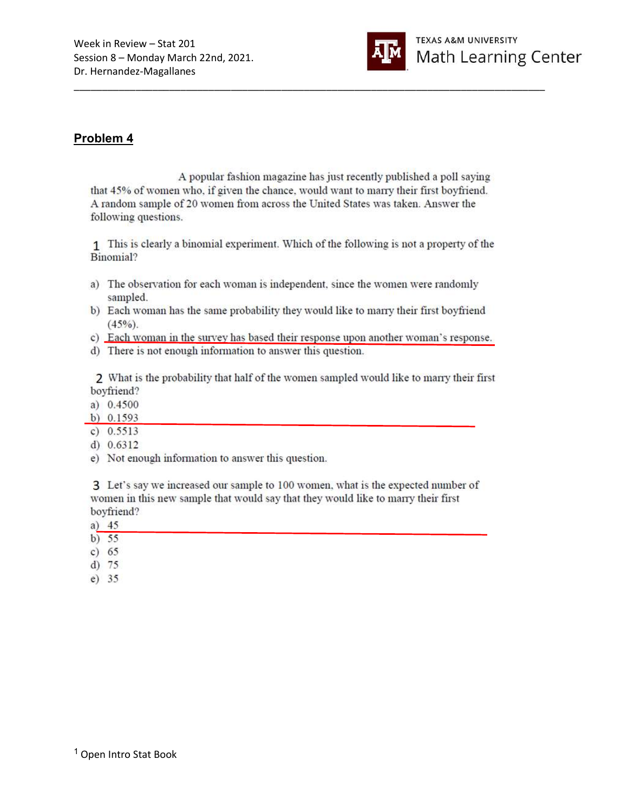

## Problem 4

A popular fashion magazine has just recently published a poll saying that 45% of women who, if given the chance, would want to marry their first boyfriend. A random sample of 20 women from across the United States was taken. Answer the following questions.

1 This is clearly a binomial experiment. Which of the following is not a property of the Binomial?

- a) The observation for each woman is independent, since the women were randomly sampled.
- b) Each woman has the same probability they would like to marry their first boyfriend  $(45\%)$ .
- c) Each woman in the survey has based their response upon another woman's response.
- d) There is not enough information to answer this question.

2 What is the probability that half of the women sampled would like to marry their first boyfriend?

- a)  $0.4500$
- b)  $0.1593$
- c)  $0.5513$
- d)  $0.6312$
- e) Not enough information to answer this question.

3 Let's say we increased our sample to 100 women, what is the expected number of women in this new sample that would say that they would like to marry their first boyfriend?

- a)  $45$
- b)  $55$
- c)  $65$
- $d)$  75
- $e) 35$